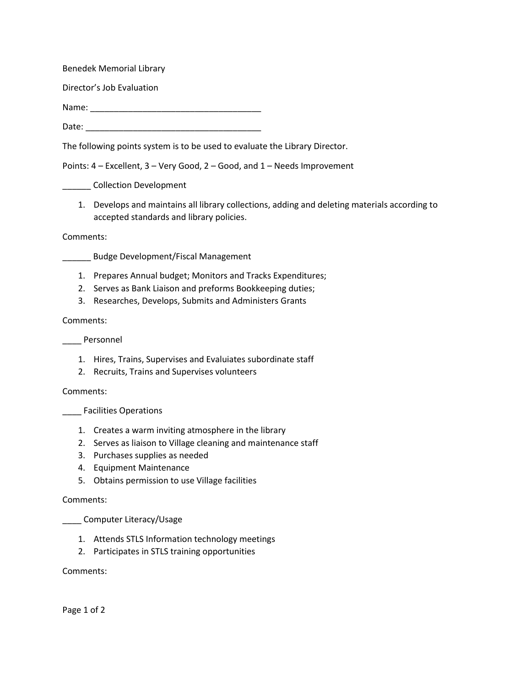Benedek Memorial Library

Director's Job Evaluation

Name: \_\_\_\_\_\_\_\_\_\_\_\_\_\_\_\_\_\_\_\_\_\_\_\_\_\_\_\_\_\_\_\_\_\_\_\_

Date: \_\_\_\_\_\_\_\_\_\_\_\_\_\_\_\_\_\_\_\_\_\_\_\_\_\_\_\_\_\_\_\_\_\_\_\_\_

The following points system is to be used to evaluate the Library Director.

Points: 4 – Excellent, 3 – Very Good, 2 – Good, and 1 – Needs Improvement

\_\_\_\_\_\_ Collection Development

1. Develops and maintains all library collections, adding and deleting materials according to accepted standards and library policies.

Comments:

\_\_\_\_\_\_ Budge Development/Fiscal Management

- 1. Prepares Annual budget; Monitors and Tracks Expenditures;
- 2. Serves as Bank Liaison and preforms Bookkeeping duties;
- 3. Researches, Develops, Submits and Administers Grants

## Comments:

\_\_\_\_ Personnel

- 1. Hires, Trains, Supervises and Evaluiates subordinate staff
- 2. Recruits, Trains and Supervises volunteers

Comments:

\_\_\_\_ Facilities Operations

- 1. Creates a warm inviting atmosphere in the library
- 2. Serves as liaison to Village cleaning and maintenance staff
- 3. Purchases supplies as needed
- 4. Equipment Maintenance
- 5. Obtains permission to use Village facilities

## Comments:

\_\_\_\_ Computer Literacy/Usage

- 1. Attends STLS Information technology meetings
- 2. Participates in STLS training opportunities

Comments:

Page 1 of 2